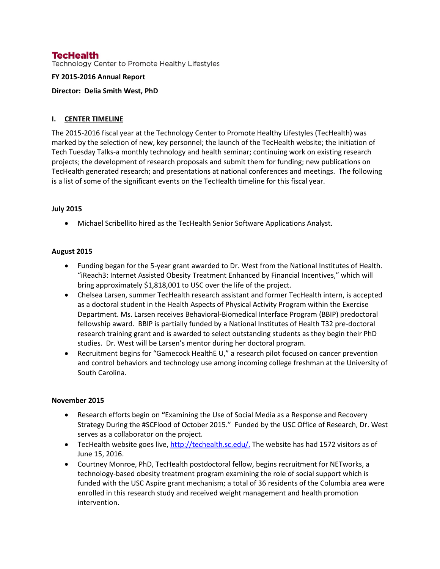## **TecHealth**

Technology Center to Promote Healthy Lifestyles

#### **FY 2015-2016 Annual Report**

#### **Director: Delia Smith West, PhD**

## **I. CENTER TIMELINE**

The 2015-2016 fiscal year at the Technology Center to Promote Healthy Lifestyles (TecHealth) was marked by the selection of new, key personnel; the launch of the TecHealth website; the initiation of Tech Tuesday Talks-a monthly technology and health seminar; continuing work on existing research projects; the development of research proposals and submit them for funding; new publications on TecHealth generated research; and presentations at national conferences and meetings. The following is a list of some of the significant events on the TecHealth timeline for this fiscal year.

## **July 2015**

• Michael Scribellito hired as the TecHealth Senior Software Applications Analyst.

#### **August 2015**

- Funding began for the 5-year grant awarded to Dr. West from the National Institutes of Health. "iReach3: Internet Assisted Obesity Treatment Enhanced by Financial Incentives," which will bring approximately \$1,818,001 to USC over the life of the project.
- Chelsea Larsen, summer TecHealth research assistant and former TecHealth intern, is accepted as a doctoral student in the Health Aspects of Physical Activity Program within the Exercise Department. Ms. Larsen receives Behavioral-Biomedical Interface Program (BBIP) predoctoral fellowship award. BBIP is partially funded by a National Institutes of Health T32 pre-doctoral research training grant and is awarded to select outstanding students as they begin their PhD studies. Dr. West will be Larsen's mentor during her doctoral program.
- Recruitment begins for "Gamecock HealthE U," a research pilot focused on cancer prevention and control behaviors and technology use among incoming college freshman at the University of South Carolina.

## **November 2015**

- Research efforts begin on **"**Examining the Use of Social Media as a Response and Recovery Strategy During the #SCFlood of October 2015." Funded by the USC Office of Research, Dr. West serves as a collaborator on the project.
- TecHealth website goes live, [http://techealth.sc.edu/.](http://techealth.sc.edu/) The website has had 1572 visitors as of June 15, 2016.
- Courtney Monroe, PhD, TecHealth postdoctoral fellow, begins recruitment for NETworks, a technology-based obesity treatment program examining the role of social support which is funded with the USC Aspire grant mechanism; a total of 36 residents of the Columbia area were enrolled in this research study and received weight management and health promotion intervention.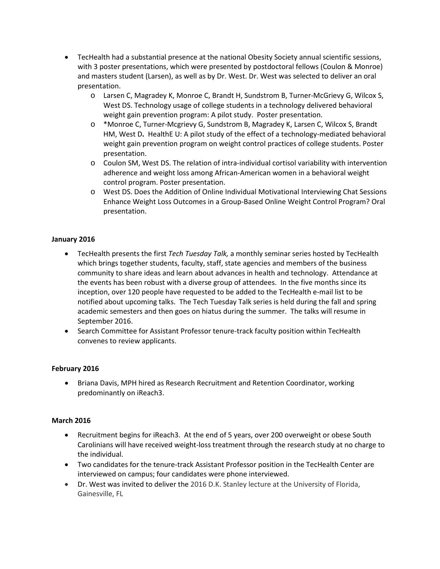- TecHealth had a substantial presence at the national Obesity Society annual scientific sessions, with 3 poster presentations, which were presented by postdoctoral fellows (Coulon & Monroe) and masters student (Larsen), as well as by Dr. West. Dr. West was selected to deliver an oral presentation.
	- o Larsen C, Magradey K, Monroe C, Brandt H, Sundstrom B, Turner-McGrievy G, Wilcox S, West DS. Technology usage of college students in a technology delivered behavioral weight gain prevention program: A pilot study. Poster presentation.
	- o \*Monroe C, Turner-Mcgrievy G, Sundstrom B, Magradey K, Larsen C, Wilcox S, Brandt HM, West D**.** HealthE U: A pilot study of the effect of a technology-mediated behavioral weight gain prevention program on weight control practices of college students. Poster presentation.
	- o Coulon SM, West DS. The relation of intra-individual cortisol variability with intervention adherence and weight loss among African-American women in a behavioral weight control program. Poster presentation.
	- o West DS. Does the Addition of Online Individual Motivational Interviewing Chat Sessions Enhance Weight Loss Outcomes in a Group-Based Online Weight Control Program? Oral presentation.

## **January 2016**

- TecHealth presents the first *Tech Tuesday Talk,* a monthly seminar series hosted by TecHealth which brings together students, faculty, staff, state agencies and members of the business community to share ideas and learn about advances in health and technology. Attendance at the events has been robust with a diverse group of attendees. In the five months since its inception, over 120 people have requested to be added to the TecHealth e-mail list to be notified about upcoming talks. The Tech Tuesday Talk series is held during the fall and spring academic semesters and then goes on hiatus during the summer. The talks will resume in September 2016.
- Search Committee for Assistant Professor tenure-track faculty position within TecHealth convenes to review applicants.

## **February 2016**

• Briana Davis, MPH hired as Research Recruitment and Retention Coordinator, working predominantly on iReach3.

## **March 2016**

- Recruitment begins for iReach3. At the end of 5 years, over 200 overweight or obese South Carolinians will have received weight-loss treatment through the research study at no charge to the individual.
- Two candidates for the tenure-track Assistant Professor position in the TecHealth Center are interviewed on campus; four candidates were phone interviewed.
- Dr. West was invited to deliver the 2016 D.K. Stanley lecture at the University of Florida, Gainesville, FL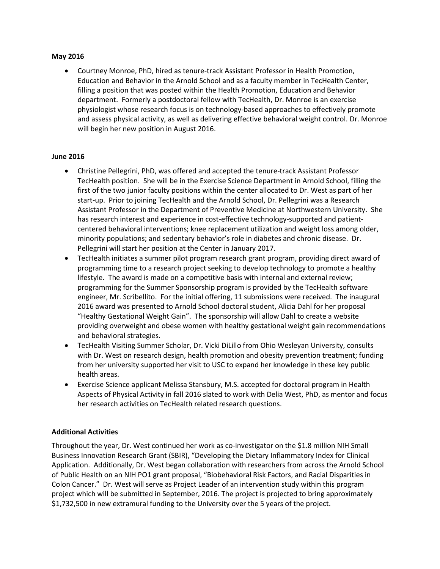#### **May 2016**

• Courtney Monroe, PhD, hired as tenure-track Assistant Professor in Health Promotion, Education and Behavior in the Arnold School and as a faculty member in TecHealth Center, filling a position that was posted within the Health Promotion, Education and Behavior department. Formerly a postdoctoral fellow with TecHealth, Dr. Monroe is an exercise physiologist whose research focus is on technology-based approaches to effectively promote and assess physical activity, as well as delivering effective behavioral weight control. Dr. Monroe will begin her new position in August 2016.

## **June 2016**

- Christine Pellegrini, PhD, was offered and accepted the tenure-track Assistant Professor TecHealth position. She will be in the Exercise Science Department in Arnold School, filling the first of the two junior faculty positions within the center allocated to Dr. West as part of her start-up. Prior to joining TecHealth and the Arnold School, Dr. Pellegrini was a Research Assistant Professor in the Department of Preventive Medicine at Northwestern University. She has research interest and experience in cost-effective technology-supported and patientcentered behavioral interventions; knee replacement utilization and weight loss among older, minority populations; and sedentary behavior's role in diabetes and chronic disease. Dr. Pellegrini will start her position at the Center in January 2017.
- TecHealth initiates a summer pilot program research grant program, providing direct award of programming time to a research project seeking to develop technology to promote a healthy lifestyle. The award is made on a competitive basis with internal and external review; programming for the Summer Sponsorship program is provided by the TecHealth software engineer, Mr. Scribellito. For the initial offering, 11 submissions were received. The inaugural 2016 award was presented to Arnold School doctoral student, Alicia Dahl for her proposal "Healthy Gestational Weight Gain". The sponsorship will allow Dahl to create a website providing overweight and obese women with healthy gestational weight gain recommendations and behavioral strategies.
- TecHealth Visiting Summer Scholar, Dr. Vicki DiLillo from Ohio Wesleyan University, consults with Dr. West on research design, health promotion and obesity prevention treatment; funding from her university supported her visit to USC to expand her knowledge in these key public health areas.
- Exercise Science applicant Melissa Stansbury, M.S. accepted for doctoral program in Health Aspects of Physical Activity in fall 2016 slated to work with Delia West, PhD, as mentor and focus her research activities on TecHealth related research questions.

## **Additional Activities**

Throughout the year, Dr. West continued her work as co-investigator on the \$1.8 million NIH Small Business Innovation Research Grant (SBIR), "Developing the Dietary Inflammatory Index for Clinical Application. Additionally, Dr. West began collaboration with researchers from across the Arnold School of Public Health on an NIH PO1 grant proposal, "Biobehavioral Risk Factors, and Racial Disparities in Colon Cancer." Dr. West will serve as Project Leader of an intervention study within this program project which will be submitted in September, 2016. The project is projected to bring approximately \$1,732,500 in new extramural funding to the University over the 5 years of the project.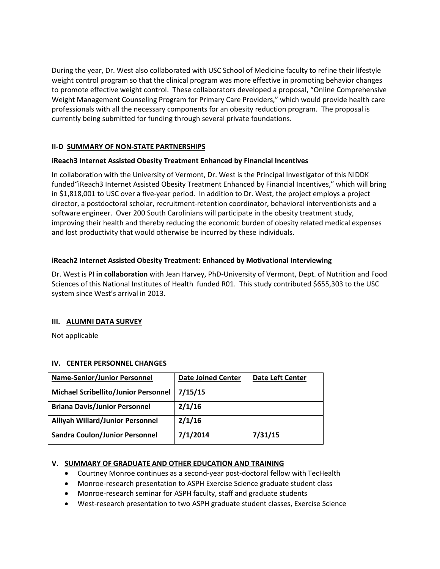During the year, Dr. West also collaborated with USC School of Medicine faculty to refine their lifestyle weight control program so that the clinical program was more effective in promoting behavior changes to promote effective weight control. These collaborators developed a proposal, "Online Comprehensive Weight Management Counseling Program for Primary Care Providers," which would provide health care professionals with all the necessary components for an obesity reduction program. The proposal is currently being submitted for funding through several private foundations.

## **II-D SUMMARY OF NON-STATE PARTNERSHIPS**

## **iReach3 Internet Assisted Obesity Treatment Enhanced by Financial Incentives**

In collaboration with the University of Vermont, Dr. West is the Principal Investigator of this NIDDK funded"iReach3 Internet Assisted Obesity Treatment Enhanced by Financial Incentives," which will bring in \$1,818,001 to USC over a five-year period. In addition to Dr. West, the project employs a project director, a postdoctoral scholar, recruitment-retention coordinator, behavioral interventionists and a software engineer. Over 200 South Carolinians will participate in the obesity treatment study, improving their health and thereby reducing the economic burden of obesity related medical expenses and lost productivity that would otherwise be incurred by these individuals.

## **iReach2 Internet Assisted Obesity Treatment: Enhanced by Motivational Interviewing**

Dr. West is PI **in collaboration** with Jean Harvey, PhD-University of Vermont, Dept. of Nutrition and Food Sciences of this National Institutes of Health funded R01. This study contributed \$655,303 to the USC system since West's arrival in 2013.

## **III. ALUMNI DATA SURVEY**

Not applicable

## **IV. CENTER PERSONNEL CHANGES**

| <b>Name-Senior/Junior Personnel</b>     | <b>Date Joined Center</b> | <b>Date Left Center</b> |
|-----------------------------------------|---------------------------|-------------------------|
| Michael Scribellito/Junior Personnel    | 7/15/15                   |                         |
| <b>Briana Davis/Junior Personnel</b>    | 2/1/16                    |                         |
| <b>Alliyah Willard/Junior Personnel</b> | 2/1/16                    |                         |
| <b>Sandra Coulon/Junior Personnel</b>   | 7/1/2014                  | 7/31/15                 |

## **V. SUMMARY OF GRADUATE AND OTHER EDUCATION AND TRAINING**

- Courtney Monroe continues as a second-year post-doctoral fellow with TecHealth
- Monroe-research presentation to ASPH Exercise Science graduate student class
- Monroe-research seminar for ASPH faculty, staff and graduate students
- West-research presentation to two ASPH graduate student classes, Exercise Science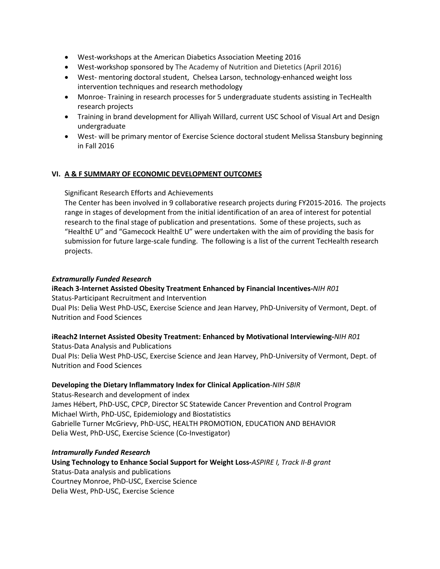- West-workshops at the American Diabetics Association Meeting 2016
- West-workshop sponsored by The Academy of Nutrition and Dietetics (April 2016)
- West- mentoring doctoral student, Chelsea Larson, technology-enhanced weight loss intervention techniques and research methodology
- Monroe-Training in research processes for 5 undergraduate students assisting in TecHealth research projects
- Training in brand development for Alliyah Willard, current USC School of Visual Art and Design undergraduate
- West- will be primary mentor of Exercise Science doctoral student Melissa Stansbury beginning in Fall 2016

## **VI. A & F SUMMARY OF ECONOMIC DEVELOPMENT OUTCOMES**

Significant Research Efforts and Achievements

The Center has been involved in 9 collaborative research projects during FY2015-2016. The projects range in stages of development from the initial identification of an area of interest for potential research to the final stage of publication and presentations. Some of these projects, such as "HealthE U" and "Gamecock HealthE U" were undertaken with the aim of providing the basis for submission for future large-scale funding. The following is a list of the current TecHealth research projects.

## *Extramurally Funded Research*

# **iReach 3-Internet Assisted Obesity Treatment Enhanced by Financial Incentives-***NIH R01*

Status-Participant Recruitment and Intervention

Dual PIs: Delia West PhD-USC, Exercise Science and Jean Harvey, PhD-University of Vermont, Dept. of Nutrition and Food Sciences

## **iReach2 Internet Assisted Obesity Treatment: Enhanced by Motivational Interviewing-***NIH R01*

Status-Data Analysis and Publications Dual PIs: Delia West PhD-USC, Exercise Science and Jean Harvey, PhD-University of Vermont, Dept. of Nutrition and Food Sciences

## **Developing the Dietary Inflammatory Index for Clinical Application**-*NIH SBIR*

Status-Research and development of index James Hébert, PhD-USC, CPCP, Director SC Statewide Cancer Prevention and Control Program Michael Wirth, PhD-USC, Epidemiology and Biostatistics Gabrielle Turner McGrievy, PhD-USC, HEALTH PROMOTION, EDUCATION AND BEHAVIOR Delia West, PhD-USC, Exercise Science (Co-Investigator)

## *Intramurally Funded Research*

**Using Technology to Enhance Social Support for Weight Loss-***ASPIRE I, Track II-B grant* Status-Data analysis and publications Courtney Monroe, PhD-USC, Exercise Science

Delia West, PhD-USC, Exercise Science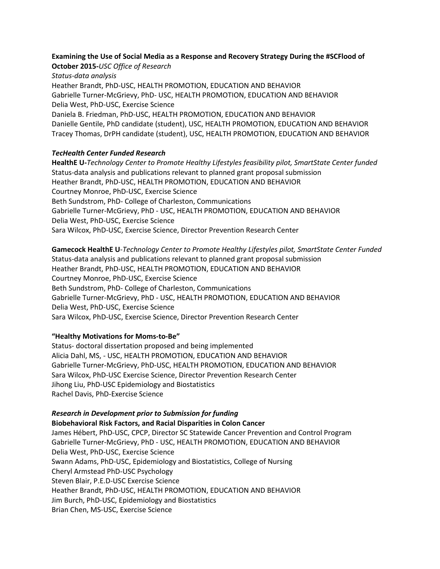## **Examining the Use of Social Media as a Response and Recovery Strategy During the #SCFlood of October 2015-***USC Office of Research*

*Status-data analysis* Heather Brandt, PhD-USC, HEALTH PROMOTION, EDUCATION AND BEHAVIOR Gabrielle Turner-McGrievy, PhD- USC, HEALTH PROMOTION, EDUCATION AND BEHAVIOR Delia West, PhD-USC, Exercise Science Daniela B. Friedman, PhD-USC, HEALTH PROMOTION, EDUCATION AND BEHAVIOR Danielle Gentile, PhD candidate (student), USC, HEALTH PROMOTION, EDUCATION AND BEHAVIOR Tracey Thomas, DrPH candidate (student), USC, HEALTH PROMOTION, EDUCATION AND BEHAVIOR

## *TecHealth Center Funded Research*

**HealthE U-***Technology Center to Promote Healthy Lifestyles feasibility pilot, SmartState Center funded* Status-data analysis and publications relevant to planned grant proposal submission Heather Brandt, PhD-USC, HEALTH PROMOTION, EDUCATION AND BEHAVIOR Courtney Monroe, PhD-USC, Exercise Science Beth Sundstrom, PhD- College of Charleston, Communications Gabrielle Turner-McGrievy, PhD - USC, HEALTH PROMOTION, EDUCATION AND BEHAVIOR Delia West, PhD-USC, Exercise Science Sara Wilcox, PhD-USC, Exercise Science, Director Prevention Research Center

**Gamecock HealthE U**-*Technology Center to Promote Healthy Lifestyles pilot, SmartState Center Funded* Status*-*data analysis and publications relevant to planned grant proposal submission Heather Brandt, PhD-USC, HEALTH PROMOTION, EDUCATION AND BEHAVIOR Courtney Monroe, PhD-USC, Exercise Science Beth Sundstrom, PhD- College of Charleston, Communications Gabrielle Turner-McGrievy, PhD - USC, HEALTH PROMOTION, EDUCATION AND BEHAVIOR Delia West, PhD-USC, Exercise Science Sara Wilcox, PhD-USC, Exercise Science, Director Prevention Research Center

## **"Healthy Motivations for Moms-to-Be"**

Status- doctoral dissertation proposed and being implemented Alicia Dahl, MS, - USC, HEALTH PROMOTION, EDUCATION AND BEHAVIOR Gabrielle Turner-McGrievy, PhD-USC, HEALTH PROMOTION, EDUCATION AND BEHAVIOR Sara Wilcox, PhD-USC Exercise Science, Director Prevention Research Center Jihong Liu, PhD-USC Epidemiology and Biostatistics Rachel Davis, PhD-Exercise Science

## *Research in Development prior to Submission for funding*

**Biobehavioral Risk Factors, and Racial Disparities in Colon Cancer** James Hébert, PhD-USC, CPCP, Director SC Statewide Cancer Prevention and Control Program Gabrielle Turner-McGrievy, PhD - USC, HEALTH PROMOTION, EDUCATION AND BEHAVIOR Delia West, PhD-USC, Exercise Science Swann Adams, PhD-USC, Epidemiology and Biostatistics, College of Nursing Cheryl Armstead PhD-USC Psychology Steven Blair, P.E.D-USC Exercise Science Heather Brandt, PhD-USC, HEALTH PROMOTION, EDUCATION AND BEHAVIOR Jim Burch, PhD-USC, Epidemiology and Biostatistics Brian Chen, MS-USC, Exercise Science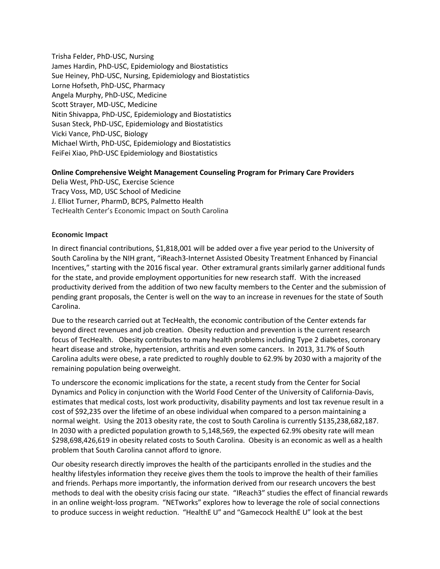Trisha Felder, PhD-USC, Nursing James Hardin, PhD-USC, Epidemiology and Biostatistics Sue Heiney, PhD-USC, Nursing, Epidemiology and Biostatistics Lorne Hofseth, PhD-USC, Pharmacy Angela Murphy, PhD-USC, Medicine Scott Strayer, MD-USC, Medicine Nitin Shivappa, PhD-USC, Epidemiology and Biostatistics Susan Steck, PhD-USC, Epidemiology and Biostatistics Vicki Vance, PhD-USC, Biology Michael Wirth, PhD-USC, Epidemiology and Biostatistics FeiFei Xiao, PhD-USC Epidemiology and Biostatistics

#### **Online Comprehensive Weight Management Counseling Program for Primary Care Providers**

Delia West, PhD-USC, Exercise Science Tracy Voss, MD, USC School of Medicine J. Elliot Turner, PharmD, BCPS, Palmetto Health TecHealth Center's Economic Impact on South Carolina

#### **Economic Impact**

In direct financial contributions, \$1,818,001 will be added over a five year period to the University of South Carolina by the NIH grant, "iReach3-Internet Assisted Obesity Treatment Enhanced by Financial Incentives," starting with the 2016 fiscal year. Other extramural grants similarly garner additional funds for the state, and provide employment opportunities for new research staff. With the increased productivity derived from the addition of two new faculty members to the Center and the submission of pending grant proposals, the Center is well on the way to an increase in revenues for the state of South Carolina.

Due to the research carried out at TecHealth, the economic contribution of the Center extends far beyond direct revenues and job creation. Obesity reduction and prevention is the current research focus of TecHealth. Obesity contributes to many health problems including Type 2 diabetes, coronary heart disease and stroke, hypertension, arthritis and even some cancers. In 2013, 31.7% of South Carolina adults were obese, a rate predicted to roughly double to 62.9% by 2030 with a majority of the remaining population being overweight.

To underscore the economic implications for the state, a recent study from the Center for Social Dynamics and Policy in conjunction with the World Food Center of the University of California-Davis, estimates that medical costs, lost work productivity, disability payments and lost tax revenue result in a cost of \$92,235 over the lifetime of an obese individual when compared to a person maintaining a normal weight. Using the 2013 obesity rate, the cost to South Carolina is currently \$135,238,682,187. In 2030 with a predicted population growth to 5,148,569, the expected 62.9% obesity rate will mean \$298,698,426,619 in obesity related costs to South Carolina. Obesity is an economic as well as a health problem that South Carolina cannot afford to ignore.

Our obesity research directly improves the health of the participants enrolled in the studies and the healthy lifestyles information they receive gives them the tools to improve the health of their families and friends. Perhaps more importantly, the information derived from our research uncovers the best methods to deal with the obesity crisis facing our state. "IReach3" studies the effect of financial rewards in an online weight-loss program. "NETworks" explores how to leverage the role of social connections to produce success in weight reduction. "HealthE U" and "Gamecock HealthE U" look at the best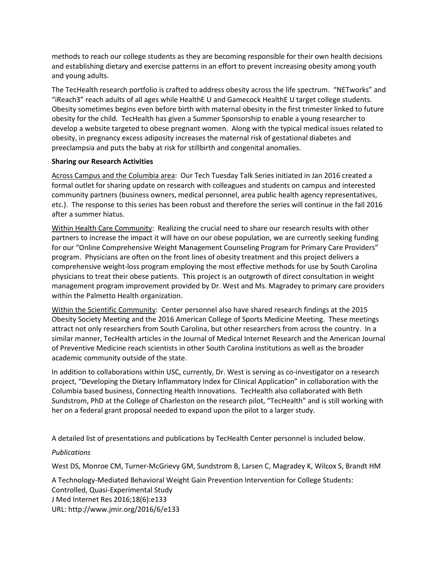methods to reach our college students as they are becoming responsible for their own health decisions and establishing dietary and exercise patterns in an effort to prevent increasing obesity among youth and young adults.

The TecHealth research portfolio is crafted to address obesity across the life spectrum. "NETworks" and "iReach3" reach adults of all ages while HealthE U and Gamecock HealthE U target college students. Obesity sometimes begins even before birth with maternal obesity in the first trimester linked to future obesity for the child. TecHealth has given a Summer Sponsorship to enable a young researcher to develop a website targeted to obese pregnant women. Along with the typical medical issues related to obesity, in pregnancy excess adiposity increases the maternal risk of gestational diabetes and preeclampsia and puts the baby at risk for stillbirth and congenital anomalies.

## **Sharing our Research Activities**

Across Campus and the Columbia area: Our Tech Tuesday Talk Series initiated in Jan 2016 created a formal outlet for sharing update on research with colleagues and students on campus and interested community partners (business owners, medical personnel, area public health agency representatives, etc.). The response to this series has been robust and therefore the series will continue in the fall 2016 after a summer hiatus.

Within Health Care Community: Realizing the crucial need to share our research results with other partners to increase the impact it will have on our obese population, we are currently seeking funding for our "Online Comprehensive Weight Management Counseling Program for Primary Care Providers" program.Physicians are often on the front lines of obesity treatment and this project delivers a comprehensive weight-loss program employing the most effective methods for use by South Carolina physicians to treat their obese patients. This project is an outgrowth of direct consultation in weight management program improvement provided by Dr. West and Ms. Magradey to primary care providers within the Palmetto Health organization.

Within the Scientific Community: Center personnel also have shared research findings at the 2015 Obesity Society Meeting and the 2016 American College of Sports Medicine Meeting. These meetings attract not only researchers from South Carolina, but other researchers from across the country. In a similar manner, TecHealth articles in the Journal of Medical Internet Research and the American Journal of Preventive Medicine reach scientists in other South Carolina institutions as well as the broader academic community outside of the state.

In addition to collaborations within USC, currently, Dr. West is serving as co-investigator on a research project, "Developing the Dietary Inflammatory Index for Clinical Application" in collaboration with the Columbia based business, Connecting Health Innovations. TecHealth also collaborated with Beth Sundstrom, PhD at the College of Charleston on the research pilot, "TecHealth" and is still working with her on a federal grant proposal needed to expand upon the pilot to a larger study.

A detailed list of presentations and publications by TecHealth Center personnel is included below.

## *Publications*

West DS, Monroe CM, Turner-McGrievy GM, Sundstrom B, Larsen C, Magradey K, Wilcox S, Brandt HM

A Technology-Mediated Behavioral Weight Gain Prevention Intervention for College Students: Controlled, Quasi-Experimental Study J Med Internet Res 2016;18(6):e133 URL: http://www.jmir.org/2016/6/e133